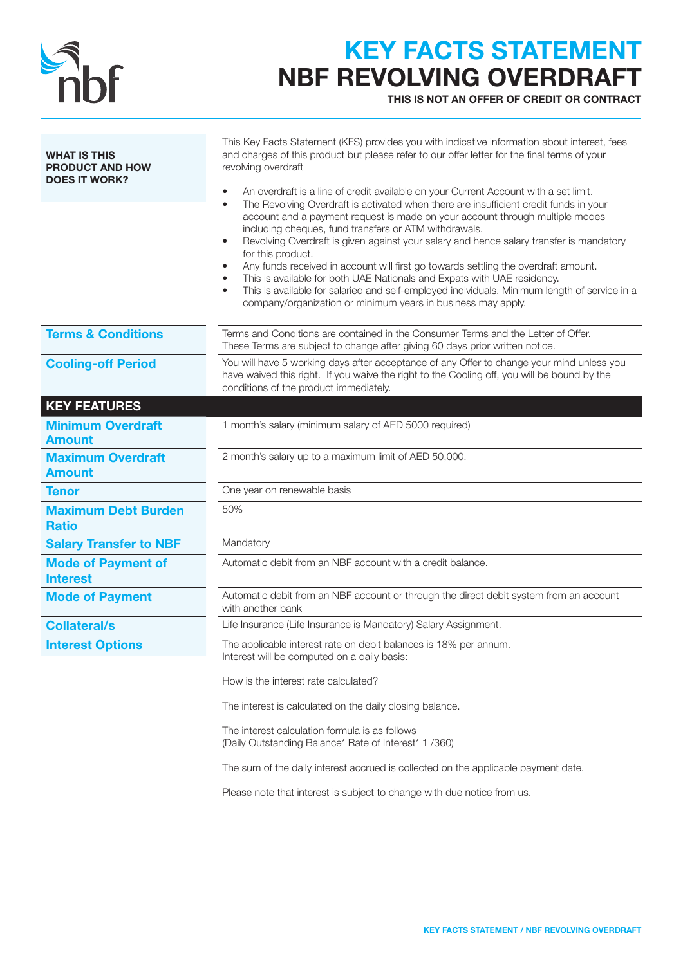

## KEY FACTS STATEMENT NBF REVOLVING OVERDRAFT

THIS IS NOT AN OFFER OF CREDIT OR CONTRACT

| <b>WHAT IS THIS</b><br><b>PRODUCT AND HOW</b><br><b>DOES IT WORK?</b> | This Key Facts Statement (KFS) provides you with indicative information about interest, fees<br>and charges of this product but please refer to our offer letter for the final terms of your<br>revolving overdraft<br>An overdraft is a line of credit available on your Current Account with a set limit.<br>The Revolving Overdraft is activated when there are insufficient credit funds in your<br>account and a payment request is made on your account through multiple modes<br>including cheques, fund transfers or ATM withdrawals.<br>Revolving Overdraft is given against your salary and hence salary transfer is mandatory<br>$\bullet$<br>for this product.<br>Any funds received in account will first go towards settling the overdraft amount.<br>This is available for both UAE Nationals and Expats with UAE residency.<br>This is available for salaried and self-employed individuals. Minimum length of service in a<br>$\bullet$<br>company/organization or minimum years in business may apply. |
|-----------------------------------------------------------------------|--------------------------------------------------------------------------------------------------------------------------------------------------------------------------------------------------------------------------------------------------------------------------------------------------------------------------------------------------------------------------------------------------------------------------------------------------------------------------------------------------------------------------------------------------------------------------------------------------------------------------------------------------------------------------------------------------------------------------------------------------------------------------------------------------------------------------------------------------------------------------------------------------------------------------------------------------------------------------------------------------------------------------|
| <b>Terms &amp; Conditions</b>                                         | Terms and Conditions are contained in the Consumer Terms and the Letter of Offer.<br>These Terms are subject to change after giving 60 days prior written notice.                                                                                                                                                                                                                                                                                                                                                                                                                                                                                                                                                                                                                                                                                                                                                                                                                                                        |
| <b>Cooling-off Period</b>                                             | You will have 5 working days after acceptance of any Offer to change your mind unless you<br>have waived this right. If you waive the right to the Cooling off, you will be bound by the<br>conditions of the product immediately.                                                                                                                                                                                                                                                                                                                                                                                                                                                                                                                                                                                                                                                                                                                                                                                       |
| <b>KEY FEATURES</b>                                                   |                                                                                                                                                                                                                                                                                                                                                                                                                                                                                                                                                                                                                                                                                                                                                                                                                                                                                                                                                                                                                          |
| <b>Minimum Overdraft</b><br><b>Amount</b>                             | 1 month's salary (minimum salary of AED 5000 required)                                                                                                                                                                                                                                                                                                                                                                                                                                                                                                                                                                                                                                                                                                                                                                                                                                                                                                                                                                   |
| <b>Maximum Overdraft</b><br><b>Amount</b>                             | 2 month's salary up to a maximum limit of AED 50,000.                                                                                                                                                                                                                                                                                                                                                                                                                                                                                                                                                                                                                                                                                                                                                                                                                                                                                                                                                                    |
| <b>Tenor</b>                                                          | One year on renewable basis                                                                                                                                                                                                                                                                                                                                                                                                                                                                                                                                                                                                                                                                                                                                                                                                                                                                                                                                                                                              |
| <b>Maximum Debt Burden</b><br><b>Ratio</b>                            | 50%                                                                                                                                                                                                                                                                                                                                                                                                                                                                                                                                                                                                                                                                                                                                                                                                                                                                                                                                                                                                                      |
| <b>Salary Transfer to NBF</b>                                         | Mandatory                                                                                                                                                                                                                                                                                                                                                                                                                                                                                                                                                                                                                                                                                                                                                                                                                                                                                                                                                                                                                |
| <b>Mode of Payment of</b><br><b>Interest</b>                          | Automatic debit from an NBF account with a credit balance.                                                                                                                                                                                                                                                                                                                                                                                                                                                                                                                                                                                                                                                                                                                                                                                                                                                                                                                                                               |
| <b>Mode of Payment</b>                                                | Automatic debit from an NBF account or through the direct debit system from an account<br>with another bank                                                                                                                                                                                                                                                                                                                                                                                                                                                                                                                                                                                                                                                                                                                                                                                                                                                                                                              |
| <b>Collateral/s</b>                                                   | Life Insurance (Life Insurance is Mandatory) Salary Assignment.                                                                                                                                                                                                                                                                                                                                                                                                                                                                                                                                                                                                                                                                                                                                                                                                                                                                                                                                                          |
| <b>Interest Options</b>                                               | The applicable interest rate on debit balances is 18% per annum.<br>Interest will be computed on a daily basis:                                                                                                                                                                                                                                                                                                                                                                                                                                                                                                                                                                                                                                                                                                                                                                                                                                                                                                          |
|                                                                       | How is the interest rate calculated?                                                                                                                                                                                                                                                                                                                                                                                                                                                                                                                                                                                                                                                                                                                                                                                                                                                                                                                                                                                     |
|                                                                       | The interest is calculated on the daily closing balance.                                                                                                                                                                                                                                                                                                                                                                                                                                                                                                                                                                                                                                                                                                                                                                                                                                                                                                                                                                 |
|                                                                       | The interest calculation formula is as follows<br>(Daily Outstanding Balance* Rate of Interest* 1 /360)                                                                                                                                                                                                                                                                                                                                                                                                                                                                                                                                                                                                                                                                                                                                                                                                                                                                                                                  |
|                                                                       | The sum of the daily interest accrued is collected on the applicable payment date.                                                                                                                                                                                                                                                                                                                                                                                                                                                                                                                                                                                                                                                                                                                                                                                                                                                                                                                                       |
|                                                                       | Please note that interest is subject to change with due notice from us.                                                                                                                                                                                                                                                                                                                                                                                                                                                                                                                                                                                                                                                                                                                                                                                                                                                                                                                                                  |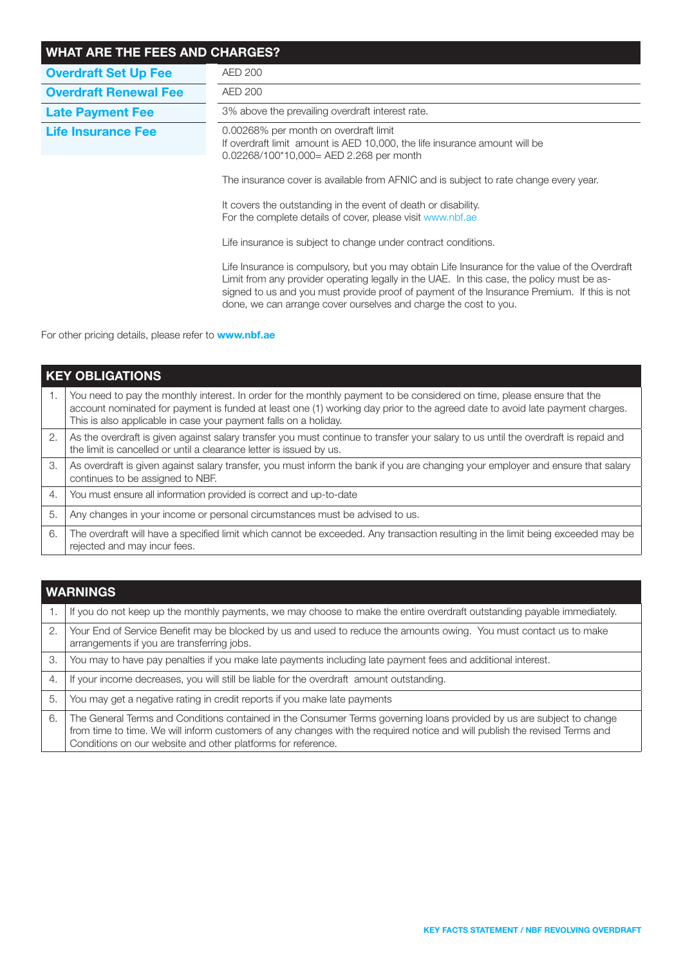| <b>WHAT ARE THE FEES AND CHARGES?</b> |                                                                                                                                                                                                                                                                                                                                                                                                                                                              |  |  |  |
|---------------------------------------|--------------------------------------------------------------------------------------------------------------------------------------------------------------------------------------------------------------------------------------------------------------------------------------------------------------------------------------------------------------------------------------------------------------------------------------------------------------|--|--|--|
| <b>Overdraft Set Up Fee</b>           | <b>AED 200</b>                                                                                                                                                                                                                                                                                                                                                                                                                                               |  |  |  |
| <b>Overdraft Renewal Fee</b>          | AED 200                                                                                                                                                                                                                                                                                                                                                                                                                                                      |  |  |  |
| <b>Late Payment Fee</b>               | 3% above the prevailing overdraft interest rate.                                                                                                                                                                                                                                                                                                                                                                                                             |  |  |  |
| <b>Life Insurance Fee</b>             | 0.00268% per month on overdraft limit<br>If overdraft limit amount is AED 10,000, the life insurance amount will be<br>$0.02268/100*10,000 = AED 2.268$ per month<br>The insurance cover is available from AFNIC and is subject to rate change every year.<br>It covers the outstanding in the event of death or disability.<br>For the complete details of cover, please visit www.nbf.ae<br>Life insurance is subject to change under contract conditions. |  |  |  |
|                                       | Life Insurance is compulsory, but you may obtain Life Insurance for the value of the Overdraft<br>Limit from any provider operating legally in the UAE. In this case, the policy must be as-<br>signed to us and you must provide proof of payment of the Insurance Premium. If this is not<br>done, we can arrange cover ourselves and charge the cost to you.                                                                                              |  |  |  |

For other pricing details, please refer to **www.nbf.ae** 

| <b>KEY OBLIGATIONS</b> |                                                                                                                                                                                                                                                                                                                             |  |  |
|------------------------|-----------------------------------------------------------------------------------------------------------------------------------------------------------------------------------------------------------------------------------------------------------------------------------------------------------------------------|--|--|
| 1.                     | You need to pay the monthly interest. In order for the monthly payment to be considered on time, please ensure that the<br>account nominated for payment is funded at least one (1) working day prior to the agreed date to avoid late payment charges.<br>This is also applicable in case your payment falls on a holiday. |  |  |
| 2.                     | As the overdraft is given against salary transfer you must continue to transfer your salary to us until the overdraft is repaid and<br>the limit is cancelled or until a clearance letter is issued by us.                                                                                                                  |  |  |
| 3.                     | As overdraft is given against salary transfer, you must inform the bank if you are changing your employer and ensure that salary<br>continues to be assigned to NBF.                                                                                                                                                        |  |  |
| 4.                     | You must ensure all information provided is correct and up-to-date                                                                                                                                                                                                                                                          |  |  |
| 5.                     | Any changes in your income or personal circumstances must be advised to us.                                                                                                                                                                                                                                                 |  |  |
| 6.                     | The overdraft will have a specified limit which cannot be exceeded. Any transaction resulting in the limit being exceeded may be<br>rejected and may incur fees.                                                                                                                                                            |  |  |

| <b>WARNINGS</b> |                                                                                                                                                                                                                                                                                                                     |  |
|-----------------|---------------------------------------------------------------------------------------------------------------------------------------------------------------------------------------------------------------------------------------------------------------------------------------------------------------------|--|
|                 | If you do not keep up the monthly payments, we may choose to make the entire overdraft outstanding payable immediately.                                                                                                                                                                                             |  |
| 2.              | Your End of Service Benefit may be blocked by us and used to reduce the amounts owing. You must contact us to make<br>arrangements if you are transferring jobs.                                                                                                                                                    |  |
| 3.              | You may to have pay penalties if you make late payments including late payment fees and additional interest.                                                                                                                                                                                                        |  |
| -4.             | If your income decreases, you will still be liable for the overdraft amount outstanding.                                                                                                                                                                                                                            |  |
| 5.              | You may get a negative rating in credit reports if you make late payments                                                                                                                                                                                                                                           |  |
| 6.              | The General Terms and Conditions contained in the Consumer Terms governing loans provided by us are subject to change<br>from time to time. We will inform customers of any changes with the required notice and will publish the revised Terms and<br>Conditions on our website and other platforms for reference. |  |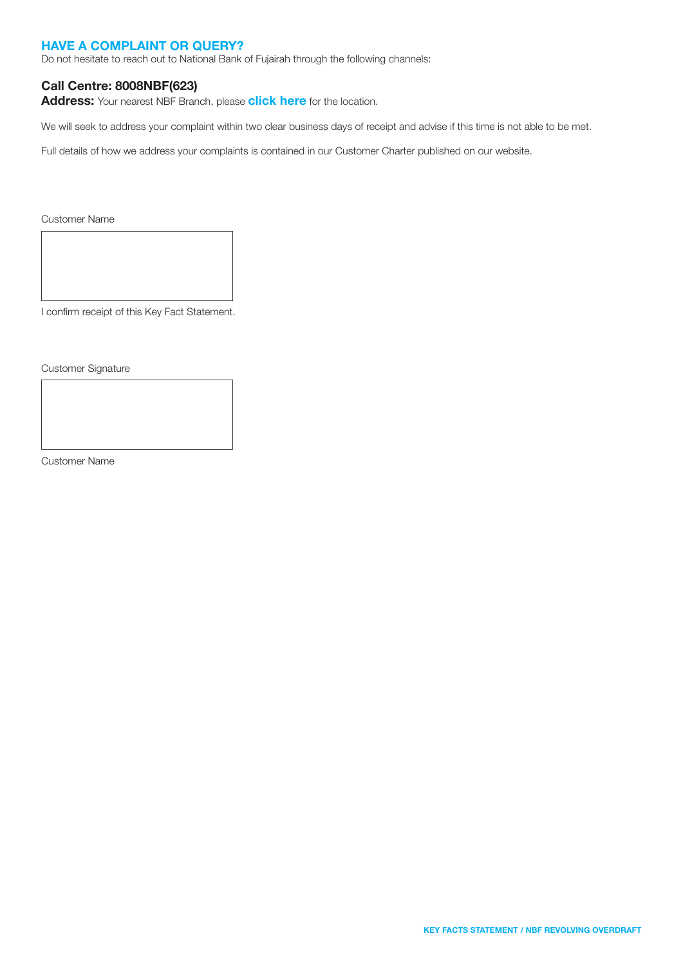### HAVE A COMPLAINT OR QUERY?

Do not hesitate to reach out to National Bank of Fujairah through the following channels:

### Call Centre: 8008NBF(623)

Address: Your nearest NBF Branch, please [click here](https://nbf.ae/en/contact/locations) for the location.

We will seek to address your complaint within two clear business days of receipt and advise if this time is not able to be met.

Full details of how we address your complaints is contained in our Customer Charter published on our website.

Customer Name

I confirm receipt of this Key Fact Statement.

Customer Signature

Customer Name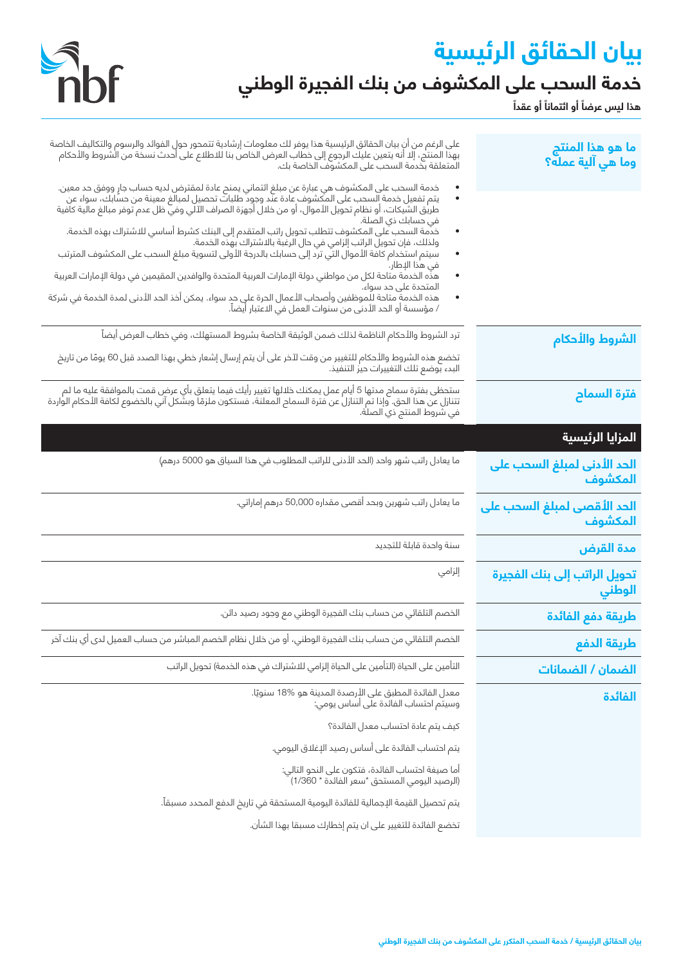# **بيان الحقائق الرئيسية ً خدمة السحب على المكشوف من بنك الفجيرة الوطني**



هذا ليس عرضاً أو ائتماناً أو عقداً

| ما هو هذا المنتج<br>وما هي آلية عمله؟  | على الرغم من أن بيان الحقائق الرئيسية هذا يوفر لك معلومات إرشادية تتمحور حول الفوائد والرسوم والتكاليف الخاصة<br>بهذا المنتج، إلا أنه يتعين عليك الرجوع إلى خطاب العرض الخاص بنا للاطلاع على أحدث نسخة من الشروط والأحكام<br>المتعلقة بخدمة السحب على المكشوف الخاصة بك. |
|----------------------------------------|--------------------------------------------------------------------------------------------------------------------------------------------------------------------------------------------------------------------------------------------------------------------------|
|                                        | خدمة السحب على المكشوف هي عبارة عن مبلغ ائتماني يمنح عادة لمقترض لديه حساب جارٍ ووفق حد معين.<br>يتم تفعيل خدمة السحب على المكشوف عادة عند وجود طلبات تحصيل لمبالغ معينة من حسابك، سواء عن<br>: طريق الشيكات، أو نظام تحويل الأموال<br>في حسابك ذي الصلة.                |
|                                        | .<br>خدمة السحب على المكشوف تتطلب تحويل راتب المتقدم إلى البنك كشرط أساسي للاشتراك بهذه الخدمة.<br>ولذلك، فإن تحويل الراتب إلزامي في حال الرغبة بالاشتراك بهذه الخدمة.<br>.<br>.                                                                                         |
|                                        | في هذا الإطار.<br>هذّه الخدمة متاحة لكل من مواطني دولة الإمارات العربية المتحدة والوافدين المقيمين في دولة الإمارات العربية<br>٠<br>المتحدة على حد سواء.                                                                                                                 |
|                                        | هذه الخدمةِ متاحة للموظفين وأصحاب الأعمال الحرة على حدٍ سواء. يمكن أخذ الحد الأدنى لمدة الخدمة في شركة<br>/ مؤسسة أو الحد الأدنى من سنوات العمل في الاعتبار أيضاً.                                                                                                       |
| الشروط والأحكام                        | ترد الشروط والأحكام الناظمة لذلك ضمن الوثيقة الخاصة بشروط المستهلك، وفي خطاب العرض أيضاً                                                                                                                                                                                 |
|                                        | تخضع هذه الشروط والأحكام للتغيير من وقت لآخر على أن يتم إرسال إشعار خطي بهذا الصدد قبل 60 يومًا من تاريخ<br>البدء بوضع تلك التغييرات حيز التنفيذ.                                                                                                                        |
| فترة السماح                            | ستحظى بفترة سماح مدتها 5 أيام عمل يمكنك خلالها تغيير رأيك فيما يتعلق بأي عرض قمت بالموافقة عليه ما لم<br>تتنازل عن هذا الحق. وإذا تم التنازل عن فترة السماح المعلنة، فستكون ملزمًا وبشكل آني بالخضوع لكافة الأحكام الواردة<br>في شر                                      |
| المزايا الرئيسية                       |                                                                                                                                                                                                                                                                          |
| الحد الأدنى لمبلغ السحب على<br>المكشوف | ما يعادل راتب شهر واحد (الحد الأدنى للراتب المطلوب في هذا السياق هو 5000 درهم)                                                                                                                                                                                           |
| الحد الأقصى لمبلغ السحب على<br>المكشوف | ما يعادل راتب شهرين وبحد أقصى مقداره 50,000 درهم إماراتي.                                                                                                                                                                                                                |
| مدة القرض                              | سنة واحدة قابلة للتجديد                                                                                                                                                                                                                                                  |
| تحويل الراتب إلى بنك الفجيرة<br>الوطني | إلزامي                                                                                                                                                                                                                                                                   |
| طريقة دفع الفائدة                      | الخصم التلقائي من حساب بنك الفجيرة الوطني مع وجود رصيد دائن.                                                                                                                                                                                                             |
| طريقة الدفع                            | الخصم التلقائي من حساب بنك الفجيرة الوطني، أو من خلال نظام الخصم المباشر من حساب العميل لدى أي بنك آخر                                                                                                                                                                   |
| الضمان / الضمانات                      | التأمين على الحياة (التأمين على الحياة إلزامي للاشتراك في هذه الخدمة) تحويل الراتب                                                                                                                                                                                       |
| الفائدة                                | معدل الفائدة المطبق على الأرصدة المدينة هو %18 سنويًا.<br>وسيتَم احتساب الفائدة علَى أساس يومي:                                                                                                                                                                          |
|                                        | كيف يتم عادة احتساب معدل الفائدة؟                                                                                                                                                                                                                                        |
|                                        | يتم احتساب الفائدة على أساس رصيد الإغلاق اليومي.                                                                                                                                                                                                                         |
|                                        | أما صيغة احتساب الفائدة، فتكون على النحو التالي:<br>(الرصيد اليومي المستحق *سعر الفائدة * 1/360)                                                                                                                                                                         |
|                                        | يتم تحصيل القيمة الإجمالية للفائدة اليومية المستحقة في تاريخ الدفع المحدد مسبقآ.                                                                                                                                                                                         |
|                                        | تخضع الفائدة للتغيير على ان يتم إخطارك مسبقا بهذا الشأن.                                                                                                                                                                                                                 |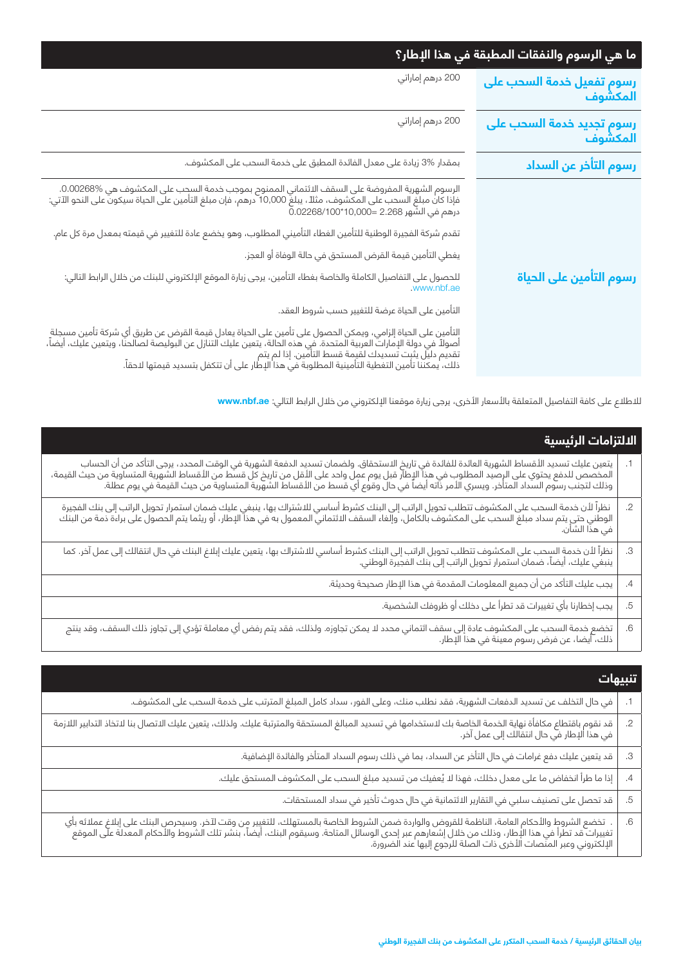| ما هي الرسوم والنفقات المطبقة في هذا الإطار؟                                                                                                                                                                                                                                                                                                       |  |
|----------------------------------------------------------------------------------------------------------------------------------------------------------------------------------------------------------------------------------------------------------------------------------------------------------------------------------------------------|--|
| 200 درهم إماراتي                                                                                                                                                                                                                                                                                                                                   |  |
| 200 درهم إماراتي                                                                                                                                                                                                                                                                                                                                   |  |
| بمقدار %3 زيادة على معدل الفائدة المطبق على خدمة السحب على المكشوف.                                                                                                                                                                                                                                                                                |  |
| الرسوم الشهرية المفروضة على السقف الائتماني الممنوح بموجب خدمة السحب على المكشوف هي %0.00268.<br>فإذا كان مبلغ السحب على المكشوف، مثلاً، يبلغ 10,000 درهم، فإن مبلغ التأمين على الحياة سيكون على النحو الآتي:<br>درهم في الشَّهر 2.<br>تقدم شركة الفجيرة الوطنية للتأمين الغطاء التأميني المطلوب، وهو يخضع عادة للتغيير في قيمته بمعدل مرة كل عام. |  |
| يغطي التأمين قيمة القرض المستحق في حالة الوفاة أو العجز.                                                                                                                                                                                                                                                                                           |  |
| للحصول على التفاصيل الكاملة والخاصة بغطاء التأمين، يرجى زيارة الموقع الإلكتروني للبنك من خلال الرابط التالي:<br>www.nbf.ae.                                                                                                                                                                                                                        |  |
| التأمين على الحياة عرضة للتغيير حسب شروط العقد.                                                                                                                                                                                                                                                                                                    |  |
| التأمين على الحياة إلزامي، ويمكن الحصول على تأمين على الحياة يعادل قيمة القرض عن طريق أي شركة تأمين مسجلة<br>أصولاً في دولة الإمارات العربية المتحدة. في هذه الحالة، يتعين عليك التنازل عن البوليصة لصالحنا، ويتعين عليك، أيضاً،                                                                                                                   |  |
|                                                                                                                                                                                                                                                                                                                                                    |  |

لالطالع على كافة التفاصيل المتعلقة باألسعار األخرى، يرجى زيارة موقعنا اإللكتروني من خالل الرابط التالي: **ae.nbf.www**

| يتعين عليك تسديد الأقساط الشهرية العائدة للفائدة في تاريخ الاستحقاق. ولضمان تسديد الدفعة الشهرية في الوقت المحدد، يرجى التأكد من أن الحساب<br>المخصص للدفع يحتوي على الرصيد المطلوب في هذا الإطار قبل يوم عمل واحد على الأقل من<br>نظراً لأن خدمة السحب على المكشوف تتطلب تحويل الراتب إلى البنك كشرط أساسي للاشتراك بها، ينبغي عليك ضمان استمرار تحويل الراتب إلى بنك الفجيرة<br>الوطني حتى يتم سداد مبلغ السحب على المكشوف بالكامل، وإلغاء السقف الائتماني المعمو<br>نظراً لأن خدمة السحب على المكشوف تتطلب تحويل الراتب إلى البنك كشرط أساسي للاشتراك بها، يتعين عليك إبلاغ البنك في حال انتقالك إلى عمل آخر. كما<br>ينبغي عليك، أيضاً، ضمان استمرار تحويل الراتب إلى بنك الفجيرة الوطني. |            | الدلتزامات الرئيسية |  |
|----------------------------------------------------------------------------------------------------------------------------------------------------------------------------------------------------------------------------------------------------------------------------------------------------------------------------------------------------------------------------------------------------------------------------------------------------------------------------------------------------------------------------------------------------------------------------------------------------------------------------------------------------------------------------------------------|------------|---------------------|--|
|                                                                                                                                                                                                                                                                                                                                                                                                                                                                                                                                                                                                                                                                                              |            |                     |  |
|                                                                                                                                                                                                                                                                                                                                                                                                                                                                                                                                                                                                                                                                                              | $\cdot$ .2 |                     |  |
|                                                                                                                                                                                                                                                                                                                                                                                                                                                                                                                                                                                                                                                                                              | .3         |                     |  |
| يجب عليك التأكد من أن جميع المعلومات المقدمة في هذا الإطار صحيحة وحديثة.                                                                                                                                                                                                                                                                                                                                                                                                                                                                                                                                                                                                                     | .4         |                     |  |
| يجب إخطارنا بأي تغييرات قد تطرأ على دخلك أو ظروفك الشخصية.                                                                                                                                                                                                                                                                                                                                                                                                                                                                                                                                                                                                                                   | .5         |                     |  |
| تخضع خدمة السحب على المكشوف عادة إلى سقف ائتماني محدد لا يمكن تجاوزه. ولذلك، فقد يتم رفض أي معاملة تؤدي إلى تجاوز ذلك السقف، وقد ينتج<br>ذلك، أيضا، عن فرض رسوم معينة في هذا الإطار.                                                                                                                                                                                                                                                                                                                                                                                                                                                                                                         | .6         |                     |  |

| تنبيهات                                                                                                                                                                                                                          |            |
|----------------------------------------------------------------------------------------------------------------------------------------------------------------------------------------------------------------------------------|------------|
| في حال التخلف عن تسديد الدفعات الشهرية، فقد نطلب منك، وعلى الفور، سداد كامل المبلغ المترتب على خدمة السحب على المكشوف.                                                                                                           |            |
| قد نقوم باقتطاع مكافأة نهاية الخدمة الخاصة بك لاستخدامها في تسديد المبالغ المستحقة والمترتبة عليك، يتخلاف عليك الاتصال بنا لاتخاذ التدابير اللازمة<br>في هذا الإطار في حال انتقالك إلى عمل آخر.                                  | $\cdot$ .2 |
| قد يتعين عليك دفع غرامات في حال التأخر عن السداد، بما في ذلك رسوم السداد المتأخر والفائدة الإضافية.                                                                                                                              | .З         |
| إذا ما طرأ انخفاض ما على معدل دخلك، فهذا لا يُعفيك من تسديد مبلغ السحب على المكشوف المستحق عليك.                                                                                                                                 | .4         |
| قد تحصل على تصنيف سلبي في التقارير الائتمانية في حال حدوث تأخير في سداد المستحقات.                                                                                                                                               | .5         |
| .  تخضع الشروط والأحكام العامة، الناظمة للقروض والواردة ضمن الشروط الخاصة بالمستهلك، للتغيير من وقت لآخر. وسيحرص البنك على إبلاغ عملائه بأي<br>تغييرات قد تطرأ في هذا الإطار، وذلك من خلال إشعارهم عبر إحدى الوسائل المتاحة. وسي | .6         |